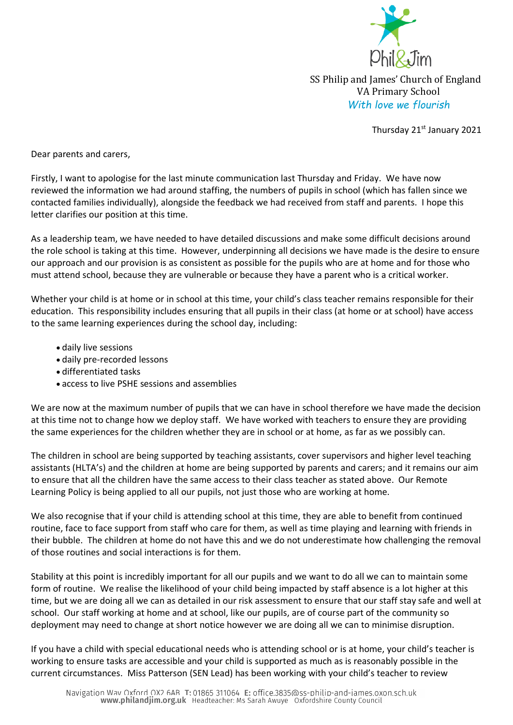

SS Philip and James' Church of England VA Primary School *With love we flourish* 

Thursday 21st January 2021

Dear parents and carers,

Firstly, I want to apologise for the last minute communication last Thursday and Friday. We have now reviewed the information we had around staffing, the numbers of pupils in school (which has fallen since we contacted families individually), alongside the feedback we had received from staff and parents. I hope this letter clarifies our position at this time.

As a leadership team, we have needed to have detailed discussions and make some difficult decisions around the role school is taking at this time. However, underpinning all decisions we have made is the desire to ensure our approach and our provision is as consistent as possible for the pupils who are at home and for those who must attend school, because they are vulnerable or because they have a parent who is a critical worker.

Whether your child is at home or in school at this time, your child's class teacher remains responsible for their education. This responsibility includes ensuring that all pupils in their class (at home or at school) have access to the same learning experiences during the school day, including:

- daily live sessions
- daily pre-recorded lessons
- differentiated tasks
- access to live PSHE sessions and assemblies

We are now at the maximum number of pupils that we can have in school therefore we have made the decision at this time not to change how we deploy staff. We have worked with teachers to ensure they are providing the same experiences for the children whether they are in school or at home, as far as we possibly can.

The children in school are being supported by teaching assistants, cover supervisors and higher level teaching assistants (HLTA's) and the children at home are being supported by parents and carers; and it remains our aim to ensure that all the children have the same access to their class teacher as stated above. Our Remote Learning Policy is being applied to all our pupils, not just those who are working at home.

We also recognise that if your child is attending school at this time, they are able to benefit from continued routine, face to face support from staff who care for them, as well as time playing and learning with friends in their bubble. The children at home do not have this and we do not underestimate how challenging the removal of those routines and social interactions is for them.

Stability at this point is incredibly important for all our pupils and we want to do all we can to maintain some form of routine. We realise the likelihood of your child being impacted by staff absence is a lot higher at this time, but we are doing all we can as detailed in our risk assessment to ensure that our staff stay safe and well at school. Our staff working at home and at school, like our pupils, are of course part of the community so deployment may need to change at short notice however we are doing all we can to minimise disruption.

If you have a child with special educational needs who is attending school or is at home, your child's teacher is working to ensure tasks are accessible and your child is supported as much as is reasonably possible in the current circumstances. Miss Patterson (SEN Lead) has been working with your child's teacher to review